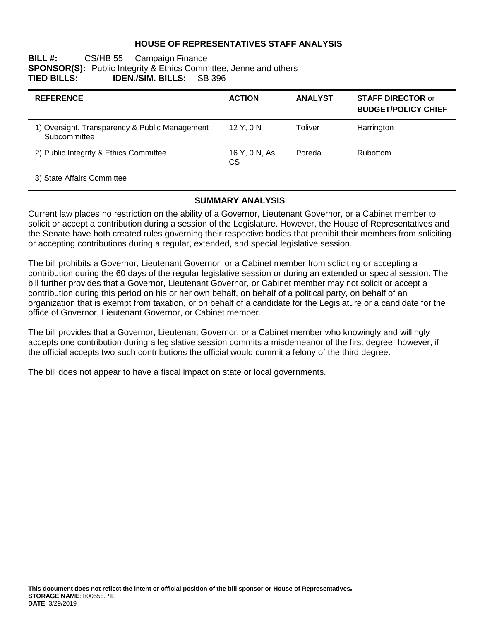## **HOUSE OF REPRESENTATIVES STAFF ANALYSIS**

## **BILL #:** CS/HB 55 Campaign Finance **SPONSOR(S):** Public Integrity & Ethics Committee, Jenne and others<br>**TIED BILLS: IDEN./SIM. BILLS:** SB 396 **IDEN./SIM. BILLS:**

| <b>REFERENCE</b>                                               | <b>ACTION</b>       | <b>ANALYST</b> | <b>STAFF DIRECTOR or</b><br><b>BUDGET/POLICY CHIEF</b> |
|----------------------------------------------------------------|---------------------|----------------|--------------------------------------------------------|
| 1) Oversight, Transparency & Public Management<br>Subcommittee | 12 Y, 0 N           | Toliver        | Harrington                                             |
| 2) Public Integrity & Ethics Committee                         | 16 Y, 0 N, As<br>CS | Poreda         | <b>Rubottom</b>                                        |
| 3) State Affairs Committee                                     |                     |                |                                                        |

## **SUMMARY ANALYSIS**

Current law places no restriction on the ability of a Governor, Lieutenant Governor, or a Cabinet member to solicit or accept a contribution during a session of the Legislature. However, the House of Representatives and the Senate have both created rules governing their respective bodies that prohibit their members from soliciting or accepting contributions during a regular, extended, and special legislative session.

The bill prohibits a Governor, Lieutenant Governor, or a Cabinet member from soliciting or accepting a contribution during the 60 days of the regular legislative session or during an extended or special session. The bill further provides that a Governor, Lieutenant Governor, or Cabinet member may not solicit or accept a contribution during this period on his or her own behalf, on behalf of a political party, on behalf of an organization that is exempt from taxation, or on behalf of a candidate for the Legislature or a candidate for the office of Governor, Lieutenant Governor, or Cabinet member.

The bill provides that a Governor, Lieutenant Governor, or a Cabinet member who knowingly and willingly accepts one contribution during a legislative session commits a misdemeanor of the first degree, however, if the official accepts two such contributions the official would commit a felony of the third degree.

The bill does not appear to have a fiscal impact on state or local governments.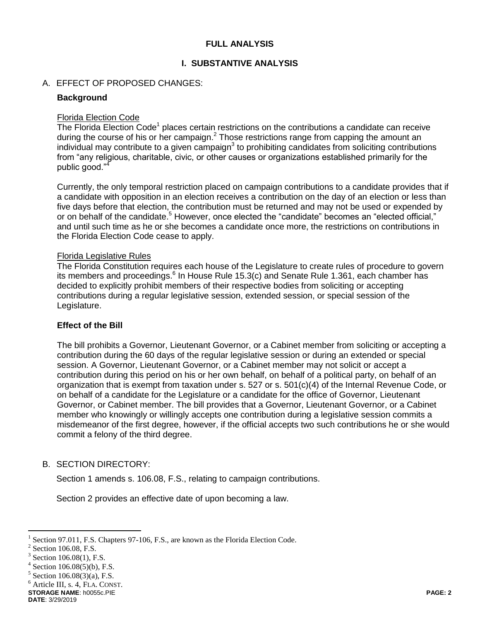## **FULL ANALYSIS**

## **I. SUBSTANTIVE ANALYSIS**

## A. EFFECT OF PROPOSED CHANGES:

#### **Background**

#### Florida Election Code

The Florida Election Code<sup>1</sup> places certain restrictions on the contributions a candidate can receive during the course of his or her campaign.<sup>2</sup> Those restrictions range from capping the amount an individual may contribute to a given campaign<sup>3</sup> to prohibiting candidates from soliciting contributions from "any religious, charitable, civic, or other causes or organizations established primarily for the public good."<sup>4</sup>

Currently, the only temporal restriction placed on campaign contributions to a candidate provides that if a candidate with opposition in an election receives a contribution on the day of an election or less than five days before that election, the contribution must be returned and may not be used or expended by or on behalf of the candidate.<sup>5</sup> However, once elected the "candidate" becomes an "elected official." and until such time as he or she becomes a candidate once more, the restrictions on contributions in the Florida Election Code cease to apply.

#### Florida Legislative Rules

The Florida Constitution requires each house of the Legislature to create rules of procedure to govern its members and proceedings. $6$  In House Rule 15.3(c) and Senate Rule 1.361, each chamber has decided to explicitly prohibit members of their respective bodies from soliciting or accepting contributions during a regular legislative session, extended session, or special session of the Legislature.

#### **Effect of the Bill**

The bill prohibits a Governor, Lieutenant Governor, or a Cabinet member from soliciting or accepting a contribution during the 60 days of the regular legislative session or during an extended or special session. A Governor, Lieutenant Governor, or a Cabinet member may not solicit or accept a contribution during this period on his or her own behalf, on behalf of a political party, on behalf of an organization that is exempt from taxation under s. 527 or s. 501(c)(4) of the Internal Revenue Code, or on behalf of a candidate for the Legislature or a candidate for the office of Governor, Lieutenant Governor, or Cabinet member. The bill provides that a Governor, Lieutenant Governor, or a Cabinet member who knowingly or willingly accepts one contribution during a legislative session commits a misdemeanor of the first degree, however, if the official accepts two such contributions he or she would commit a felony of the third degree.

#### B. SECTION DIRECTORY:

Section 1 amends s. 106.08, F.S., relating to campaign contributions.

Section 2 provides an effective date of upon becoming a law.

 $\overline{a}$ 

<sup>6</sup> Article III, s. 4, FLA. CONST.

**STORAGE NAME**: h0055c.PIE **PAGE: 2**

<sup>1</sup> Section 97.011, F.S. Chapters 97-106, F.S., are known as the Florida Election Code.

<sup>2</sup> Section 106.08, F.S.

<sup>3</sup> Section 106.08(1), F.S.

<sup>4</sup> Section 106.08(5)(b), F.S.

 $5$  Section 106.08(3)(a), F.S.

**DATE**: 3/29/2019